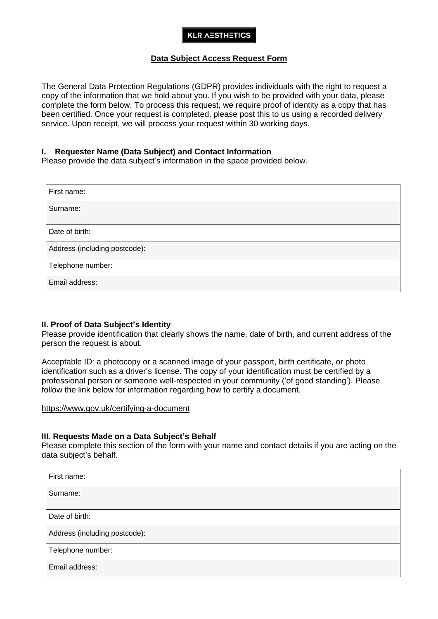## **KLR AESTHETICS**

## **Data Subject Access Request Form**

The General Data Protection Regulations (GDPR) provides individuals with the right to request a copy of the information that we hold about you. If you wish to be provided with your data, please complete the form below. To process this request, we require proof of identity as a copy that has been certified. Once your request is completed, please post this to us using a recorded delivery service. Upon receipt, we will process your request within 30 working days.

#### **I. Requester Name (Data Subject) and Contact Information**

Please provide the data subject's information in the space provided below.

| First name:                   |
|-------------------------------|
| Surname:                      |
| Date of birth:                |
| Address (including postcode): |
| Telephone number:             |
| Email address:                |

#### **II. Proof of Data Subject's Identity**

Please provide identification that clearly shows the name, date of birth, and current address of the person the request is about.

Acceptable ID: a photocopy or a scanned image of your passport, birth certificate, or photo identification such as a driver's license. The copy of your identification must be certified by a professional person or someone well-respected in your community ('of good standing'). Please follow the link below for information regarding how to certify a document.

<https://www.gov.uk/certifying-a-document>

#### **III. Requests Made on a Data Subject's Behalf**

Please complete this section of the form with your name and contact details if you are acting on the data subject's behalf.

| First name:                   |
|-------------------------------|
| Surname:                      |
|                               |
| Date of birth:                |
| Address (including postcode): |
| Telephone number:             |
| Email address:                |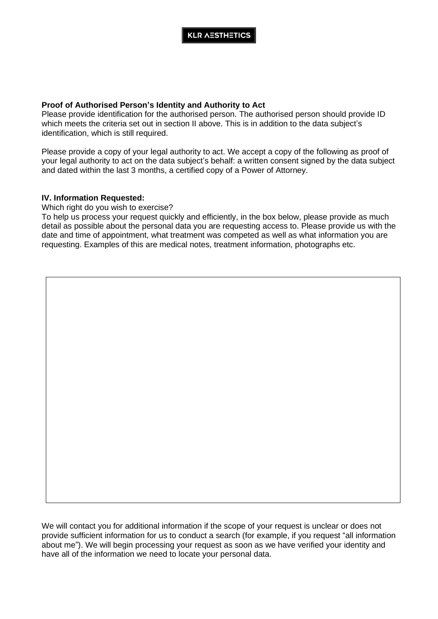## **Proof of Authorised Person's Identity and Authority to Act**

Please provide identification for the authorised person. The authorised person should provide ID which meets the criteria set out in section II above. This is in addition to the data subject's identification, which is still required.

Please provide a copy of your legal authority to act. We accept a copy of the following as proof of your legal authority to act on the data subject's behalf: a written consent signed by the data subject and dated within the last 3 months, a certified copy of a Power of Attorney.

## **IV. Information Requested:**

Which right do you wish to exercise?

To help us process your request quickly and efficiently, in the box below, please provide as much detail as possible about the personal data you are requesting access to. Please provide us with the date and time of appointment, what treatment was competed as well as what information you are requesting. Examples of this are medical notes, treatment information, photographs etc.

We will contact you for additional information if the scope of your request is unclear or does not provide sufficient information for us to conduct a search (for example, if you request "all information about me"). We will begin processing your request as soon as we have verified your identity and have all of the information we need to locate your personal data.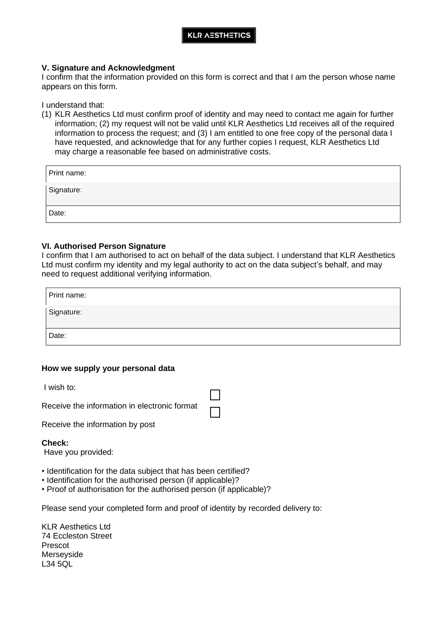## **KLR AESTHETICS**

#### **V. Signature and Acknowledgment**

I confirm that the information provided on this form is correct and that I am the person whose name appears on this form.

I understand that:

(1) KLR Aesthetics Ltd must confirm proof of identity and may need to contact me again for further information; (2) my request will not be valid until KLR Aesthetics Ltd receives all of the required information to process the request; and (3) I am entitled to one free copy of the personal data I have requested, and acknowledge that for any further copies I request, KLR Aesthetics Ltd may charge a reasonable fee based on administrative costs.

| Print name: |  |
|-------------|--|
| Signature:  |  |
| Date:       |  |

#### **VI. Authorised Person Signature**

I confirm that I am authorised to act on behalf of the data subject. I understand that KLR Aesthetics Ltd must confirm my identity and my legal authority to act on the data subject's behalf, and may need to request additional verifying information.

| Print name: |  |
|-------------|--|
| Signature:  |  |
| Date:       |  |

## **How we supply your personal data**

I wish to:

Receive the information in electronic format

Receive the information by post

#### **Check:**

Have you provided:

- Identification for the data subject that has been certified?
- Identification for the authorised person (if applicable)?
- Proof of authorisation for the authorised person (if applicable)?

Please send your completed form and proof of identity by recorded delivery to:

KLR Aesthetics Ltd 74 Eccleston Street Prescot **Merseyside** L34 5QL